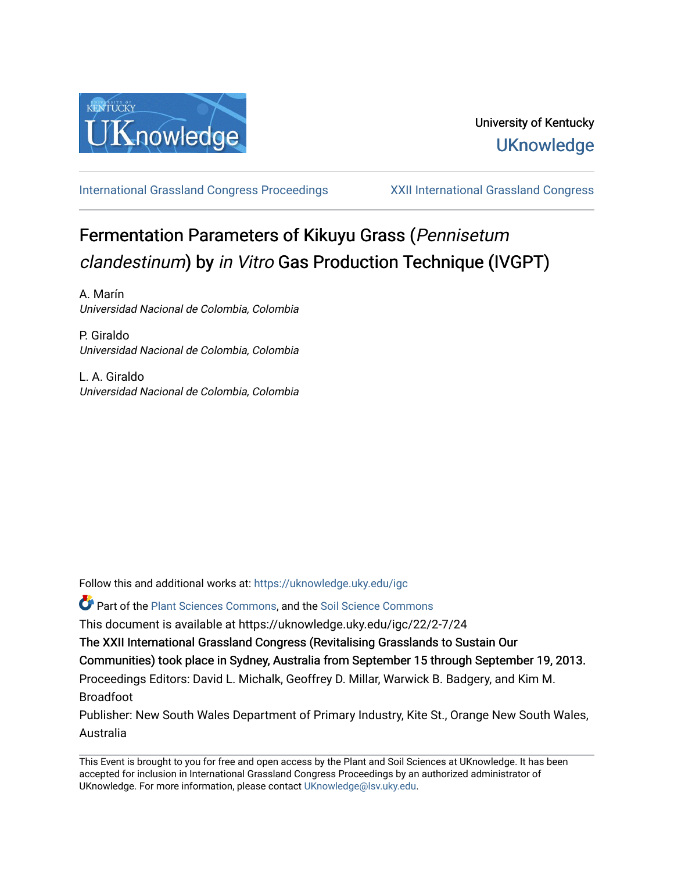

[International Grassland Congress Proceedings](https://uknowledge.uky.edu/igc) [XXII International Grassland Congress](https://uknowledge.uky.edu/igc/22) 

# Fermentation Parameters of Kikuyu Grass (Pennisetum clandestinum) by in Vitro Gas Production Technique (IVGPT)

A. Marín Universidad Nacional de Colombia, Colombia

P. Giraldo Universidad Nacional de Colombia, Colombia

L. A. Giraldo Universidad Nacional de Colombia, Colombia

Follow this and additional works at: [https://uknowledge.uky.edu/igc](https://uknowledge.uky.edu/igc?utm_source=uknowledge.uky.edu%2Figc%2F22%2F2-7%2F24&utm_medium=PDF&utm_campaign=PDFCoverPages) 

Part of the [Plant Sciences Commons](http://network.bepress.com/hgg/discipline/102?utm_source=uknowledge.uky.edu%2Figc%2F22%2F2-7%2F24&utm_medium=PDF&utm_campaign=PDFCoverPages), and the [Soil Science Commons](http://network.bepress.com/hgg/discipline/163?utm_source=uknowledge.uky.edu%2Figc%2F22%2F2-7%2F24&utm_medium=PDF&utm_campaign=PDFCoverPages) 

This document is available at https://uknowledge.uky.edu/igc/22/2-7/24

The XXII International Grassland Congress (Revitalising Grasslands to Sustain Our

Communities) took place in Sydney, Australia from September 15 through September 19, 2013.

Proceedings Editors: David L. Michalk, Geoffrey D. Millar, Warwick B. Badgery, and Kim M. Broadfoot

Publisher: New South Wales Department of Primary Industry, Kite St., Orange New South Wales, Australia

This Event is brought to you for free and open access by the Plant and Soil Sciences at UKnowledge. It has been accepted for inclusion in International Grassland Congress Proceedings by an authorized administrator of UKnowledge. For more information, please contact [UKnowledge@lsv.uky.edu](mailto:UKnowledge@lsv.uky.edu).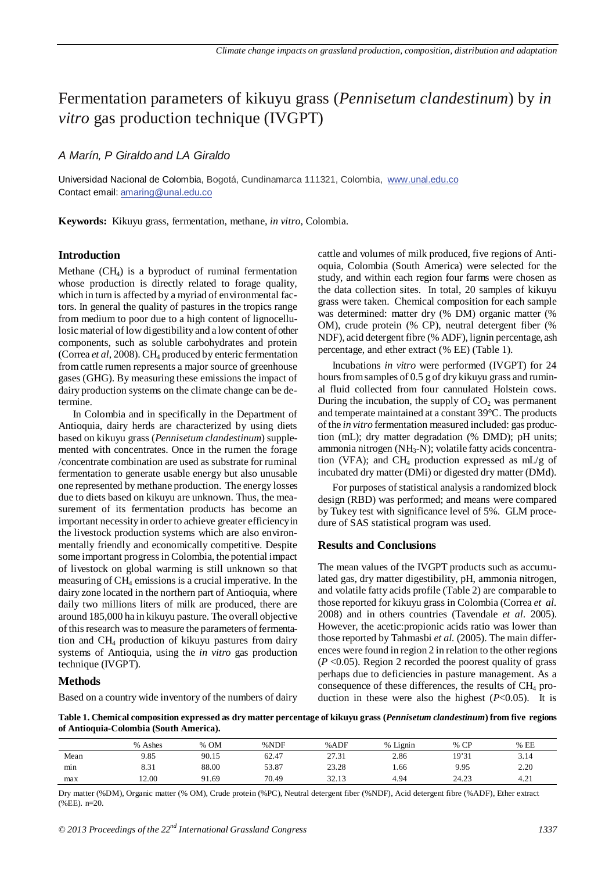## Fermentation parameters of kikuyu grass (*Pennisetum clandestinum*) by *in vitro* gas production technique (IVGPT)

### *A Marín, P Giraldoand LA Giraldo*

Universidad Nacional de Colombia, Bogotá, Cundinamarca 111321, Colombia, www.unal.edu.co Contact email: amaring@unal.edu.co

**Keywords:** Kikuyu grass, fermentation, methane, *in vitro*, Colombia.

#### **Introduction**

Methane (CH4) is a byproduct of ruminal fermentation whose production is directly related to forage quality, which in turn is affected by a myriad of environmental factors. In general the quality of pastures in the tropics range from medium to poor due to a high content of lignocellulosic material of low digestibility and a low content of other components, such as soluble carbohydrates and protein [\(Correa](#page-2-0) *et al*, 2008). CH4 produced by enteric fermentation from cattle rumen represents a major source of greenhouse gases (GHG). By measuring these emissions the impact of dairy production systems on the climate change can be determine.

In Colombia and in specifically in the Department of Antioquia, dairy herds are characterized by using diets based on kikuyu grass (*Pennisetum clandestinum*) supplemented with concentrates. Once in the rumen the forage /concentrate combination are used as substrate for ruminal fermentation to generate usable energy but also unusable one represented by methane production. The energy losses due to diets based on kikuyu are unknown. Thus, the measurement of its fermentation products has become an important necessity in order to achieve greater efficiencyin the livestock production systems which are also environmentally friendly and economically competitive. Despite some important progressin Colombia, the potential impact of livestock on global warming is still unknown so that measuring of CH4 emissions is a crucial imperative. In the dairy zone located in the northern part of Antioquia, where daily two millions liters of milk are produced, there are around 185,000 ha in kikuyu pasture. The overall objective of this research was to measure the parameters of fermentation and CH4 production of kikuyu pastures from dairy systems of Antioquia, using the *in vitro* gas production technique (IVGPT).

#### **Methods**

Based on a country wide inventory of the numbers of dairy

cattle and volumes of milk produced, five regions of Antioquia, Colombia (South America) were selected for the study, and within each region four farms were chosen as the data collection sites. In total, 20 samples of kikuyu grass were taken. Chemical composition for each sample was determined: matter dry (% DM) organic matter (% OM), crude protein (% CP), neutral detergent fiber (% NDF), acid detergent fibre (% ADF), lignin percentage, ash percentage, and ether extract (% EE) (Table 1).

Incubations *in vitro* were performed (IVGPT) for 24 hours from samples of 0.5 g of dry kikuyu grass and ruminal fluid collected from four cannulated Holstein cows. During the incubation, the supply of  $CO<sub>2</sub>$  was permanent and temperate maintained at a constant 39°C. The products of the *in vitro* fermentation measured included: gas production (mL); dry matter degradation (% DMD); pH units; ammonia nitrogen (NH3-N); volatile fatty acids concentration (VFA); and CH<sub>4</sub> production expressed as mL/g of incubated dry matter (DMi) or digested dry matter (DMd).

For purposes of statistical analysis a randomized block design (RBD) was performed; and means were compared by Tukey test with significance level of 5%. GLM procedure of SAS statistical program was used.

#### **Results and Conclusions**

The mean values of the IVGPT products such as accumulated gas, dry matter digestibility, pH, ammonia nitrogen, and volatile fatty acids profile (Table 2) are comparable to those reported for kikuyu grass in Colombia (Correa *et al.* 2008) and in others countries (Tavendale *et al*. 2005). However, the acetic:propionic acids ratio was lower than those reported by Tahmasbi *et al.* (2005). The main differences were found in region 2 in relation to the other regions (*P* <0.05). Region 2 recorded the poorest quality of grass perhaps due to deficiencies in pasture management. As a consequence of these differences, the results of CH4 production in these were also the highest  $(P<0.05)$ . It is

**Table 1. Chemical composition expressed as dry matter percentage of kikuyu grass (***Pennisetum clandestinum***) from five regions of Antioquia-Colombia (South America).** 

|      | % Ashes | % OM  | %NDF  | %ADF  | % Lignin | $%$ CP | %EE  |
|------|---------|-------|-------|-------|----------|--------|------|
| Mean | 9.85    | 90.15 | 62.47 | 27.31 | 2.86     | 19'31  | 3.14 |
| min  | 8.31    | 88.00 | 53.87 | 23.28 | 1.66     | 9.95   | 2.20 |
| max  | 2.00    | 91.69 | 70.49 | 32.13 | 4.94     | 24.23  | 4.21 |

Dry matter (%DM), Organic matter (% OM), Crude protein (%PC), Neutral detergent fiber (%NDF), Acid detergent fibre (%ADF), Ether extract  $(\%EE)$ . n=20.